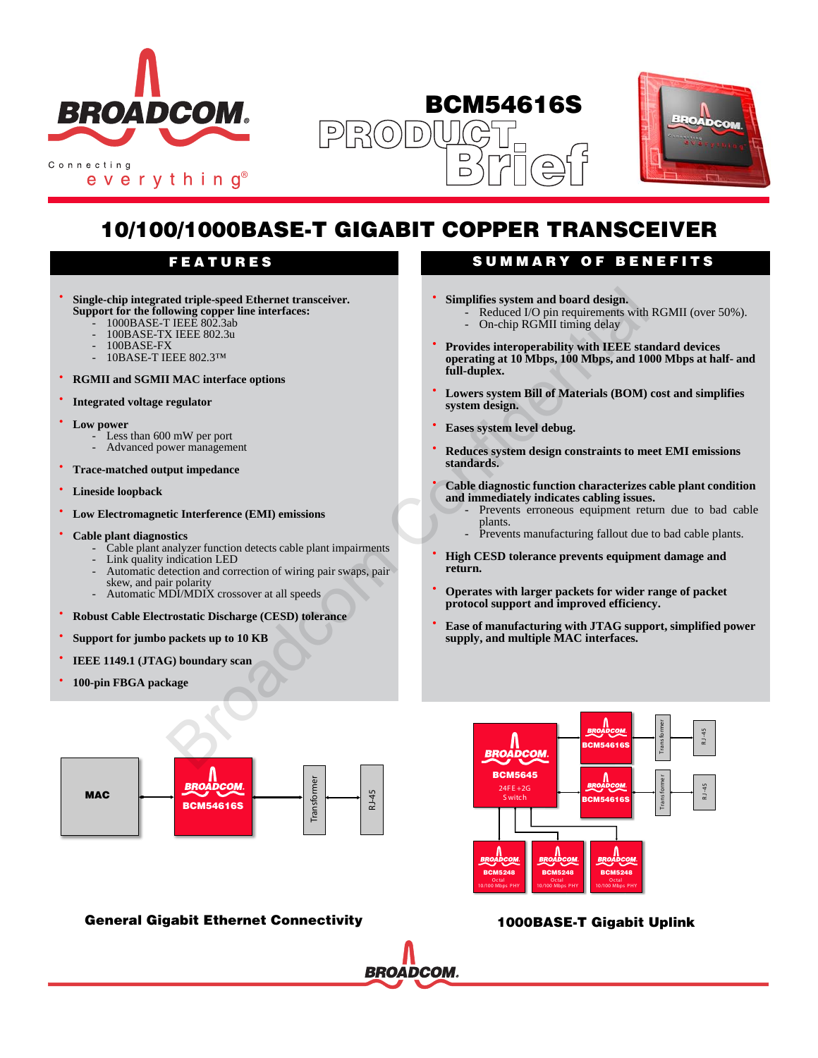

everything®





# **10/100/1000BASE-T GIGABIT COPPER TRANSCEIVER**

- **Single-chip integrated triple-speed Ethernet transceiver. Support for the following copper line interfaces:**
	- 1000BASE-T IEEE 802.3ab
	- 100BASE-TX IEEE 802.3u
	- 100BASE-FX
	- 10BASE-T IEEE 802.3™
- **RGMII and SGMII MAC interface options**
- **Integrated voltage regulator**
- **Low power**
	- Less than 600 mW per port
	- Advanced power management
- **Trace-matched output impedance**
- **Lineside loopback**
- **Low Electromagnetic Interference (EMI) emissions**
- **Cable plant diagnostics**
	- Cable plant analyzer function detects cable plant impairments
	- Link quality indication LED
	- Automatic detection and correction of wiring pair swaps, pair skew, and pair polarity
	- Automatic MDI/MDIX crossover at all speeds
- **Robust Cable Electrostatic Discharge (CESD) tolerance**
- **Support for jumbo packets up to 10 KB**
- **IEEE 1149.1 (JTAG) boundary scan**
- **100-pin FBGA package**



### **General Gigabit Ethernet Connectivity**

# **FEATURES SUMMARY OF BENEFITS**

- **Simplifies system and board design.**
	- Reduced I/O pin requirements with RGMII (over 50%). On-chip RGMII timing delay
	-
- **Provides interoperability with IEEE standard devices operating at 10 Mbps, 100 Mbps, and 1000 Mbps at half- and full-duplex.**
- **Lowers system Bill of Materials (BOM) cost and simplifies system design.**
- **Eases system level debug.**
- **Reduces system design constraints to meet EMI emissions standards.**
- **Cable diagnostic function characterizes cable plant condition and immediately indicates cabling issues.**
	- Prevents erroneous equipment return due to bad cable plants.
	- Prevents manufacturing fallout due to bad cable plants.
- **High CESD tolerance prevents equipment damage and return.**
- **Operates with larger packets for wider range of packet protocol support and improved efficiency.**
- **Ease of manufacturing with JTAG support, simplified power supply, and multiple MAC interfaces.**